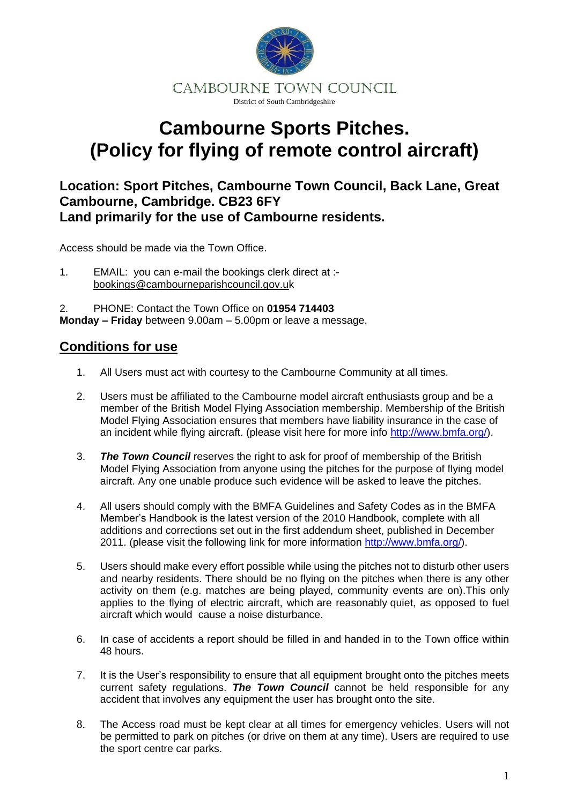

## **Cambourne Sports Pitches. (Policy for flying of remote control aircraft)**

## **Location: Sport Pitches, Cambourne Town Council, Back Lane, Great Cambourne, Cambridge. CB23 6FY Land primarily for the use of Cambourne residents.**

Access should be made via the Town Office.

1. EMAIL: you can e-mail the bookings clerk direct at : bookings@cambourneparishcouncil.gov.uk

2. PHONE: Contact the Town Office on **01954 714403 Monday – Friday** between 9.00am – 5.00pm or leave a message.

## **Conditions for use**

- 1. All Users must act with courtesy to the Cambourne Community at all times.
- 2. Users must be affiliated to the Cambourne model aircraft enthusiasts group and be a member of the British Model Flying Association membership. Membership of the British Model Flying Association ensures that members have liability insurance in the case of an incident while flying aircraft. (please visit here for more info [http://www.bmfa.org/\)](http://www.bmfa.org/).
- 3. *The Town Council* reserves the right to ask for proof of membership of the British Model Flying Association from anyone using the pitches for the purpose of flying model aircraft. Any one unable produce such evidence will be asked to leave the pitches.
- 4. All users should comply with the BMFA Guidelines and Safety Codes as in the BMFA Member's Handbook is the latest version of the 2010 Handbook, complete with all additions and corrections set out in the first addendum sheet, published in December 2011. (please visit the following link for more information [http://www.bmfa.org/\)](http://www.bmfa.org/).
- 5. Users should make every effort possible while using the pitches not to disturb other users and nearby residents. There should be no flying on the pitches when there is any other activity on them (e.g. matches are being played, community events are on).This only applies to the flying of electric aircraft, which are reasonably quiet, as opposed to fuel aircraft which would cause a noise disturbance.
- 6. In case of accidents a report should be filled in and handed in to the Town office within 48 hours.
- 7. It is the User's responsibility to ensure that all equipment brought onto the pitches meets current safety regulations. *The Town Council* cannot be held responsible for any accident that involves any equipment the user has brought onto the site.
- 8. The Access road must be kept clear at all times for emergency vehicles. Users will not be permitted to park on pitches (or drive on them at any time). Users are required to use the sport centre car parks.